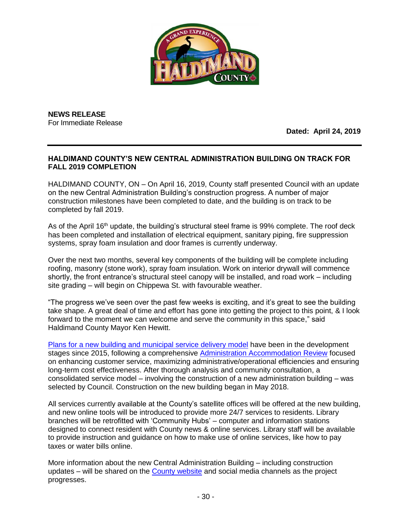

**NEWS RELEASE** For Immediate Release

**Dated: April 24, 2019**

## **HALDIMAND COUNTY'S NEW CENTRAL ADMINISTRATION BUILDING ON TRACK FOR FALL 2019 COMPLETION**

HALDIMAND COUNTY, ON – On April 16, 2019, County staff presented Council with an update on the new Central Administration Building's construction progress. A number of major construction milestones have been completed to date, and the building is on track to be completed by fall 2019.

As of the April 16<sup>th</sup> update, the building's structural steel frame is 99% complete. The roof deck has been completed and installation of electrical equipment, sanitary piping, fire suppression systems, spray foam insulation and door frames is currently underway.

Over the next two months, several key components of the building will be complete including roofing, masonry (stone work), spray foam insulation. Work on interior drywall will commence shortly, the front entrance's structural steel canopy will be installed, and road work – including site grading – will begin on Chippewa St. with favourable weather.

"The progress we've seen over the past few weeks is exciting, and it's great to see the building take shape. A great deal of time and effort has gone into getting the project to this point, & I look forward to the moment we can welcome and serve the community in this space," said Haldimand County Mayor Ken Hewitt.

[Plans for a new building and municipal service delivery model](https://www.haldimandcounty.ca/projects-initiatives/central-administration-project/) have been in the development stages since 2015, following a comprehensive [Administration Accommodation Review](https://www.haldimandcounty.ca/projects-initiatives/central-administration-project/) focused on enhancing customer service, maximizing administrative/operational efficiencies and ensuring long-term cost effectiveness. After thorough analysis and community consultation, a consolidated service model – involving the construction of a new administration building – was selected by Council. Construction on the new building began in May 2018.

All services currently available at the County's satellite offices will be offered at the new building, and new online tools will be introduced to provide more 24/7 services to residents. Library branches will be retrofitted with 'Community Hubs' – computer and information stations designed to connect resident with County news & online services. Library staff will be available to provide instruction and guidance on how to make use of online services, like how to pay taxes or water bills online.

More information about the new Central Administration Building – including construction updates – will be shared on the [County website](https://www.haldimandcounty.ca/projects-initiatives/central-administration-project/) and social media channels as the project progresses.